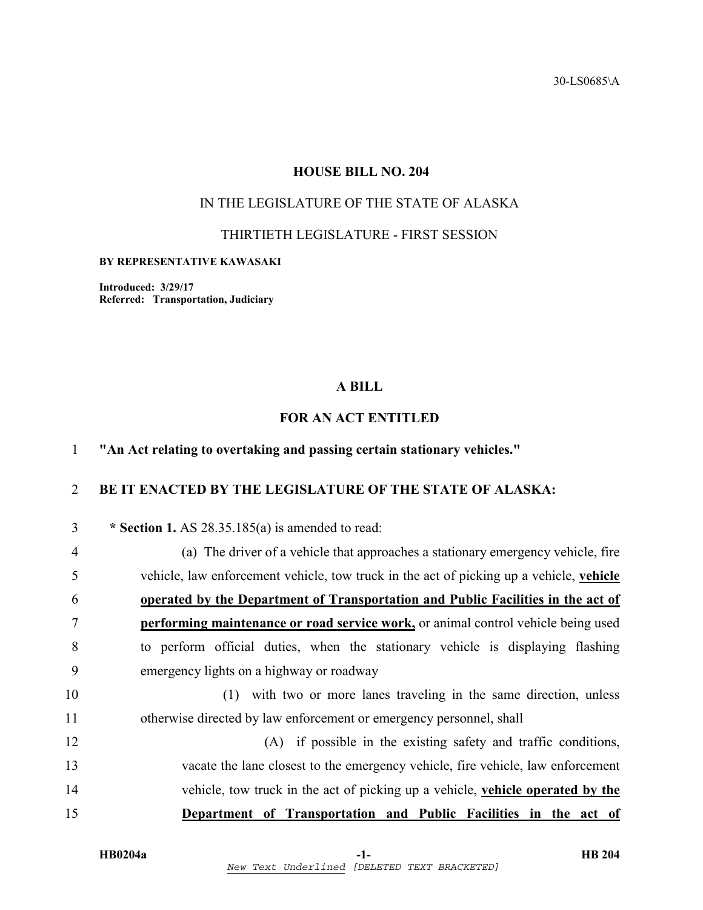30-LS0685\A

# **HOUSE BILL NO. 204**

# IN THE LEGISLATURE OF THE STATE OF ALASKA

THIRTIETH LEGISLATURE - FIRST SESSION

#### **BY REPRESENTATIVE KAWASAKI**

**Introduced: 3/29/17 Referred: Transportation, Judiciary** 

### **A BILL**

# **FOR AN ACT ENTITLED**

# 1 **"An Act relating to overtaking and passing certain stationary vehicles."**

# 2 **BE IT ENACTED BY THE LEGISLATURE OF THE STATE OF ALASKA:**

| 3              | * Section 1. AS $28.35.185(a)$ is amended to read:                                       |
|----------------|------------------------------------------------------------------------------------------|
| $\overline{4}$ | (a) The driver of a vehicle that approaches a stationary emergency vehicle, fire         |
| 5              | vehicle, law enforcement vehicle, tow truck in the act of picking up a vehicle, vehicle  |
| 6              | operated by the Department of Transportation and Public Facilities in the act of         |
| 7              | <b>performing maintenance or road service work, or animal control vehicle being used</b> |
| 8              | to perform official duties, when the stationary vehicle is displaying flashing           |
| 9              | emergency lights on a highway or roadway                                                 |
| 10             | (1) with two or more lanes traveling in the same direction, unless                       |
| 11             | otherwise directed by law enforcement or emergency personnel, shall                      |
| 12             | (A) if possible in the existing safety and traffic conditions,                           |
| 13             | vacate the lane closest to the emergency vehicle, fire vehicle, law enforcement          |
| 14             | vehicle, tow truck in the act of picking up a vehicle, vehicle operated by the           |
| 15             | Department of Transportation and Public Facilities in the act of                         |
|                |                                                                                          |